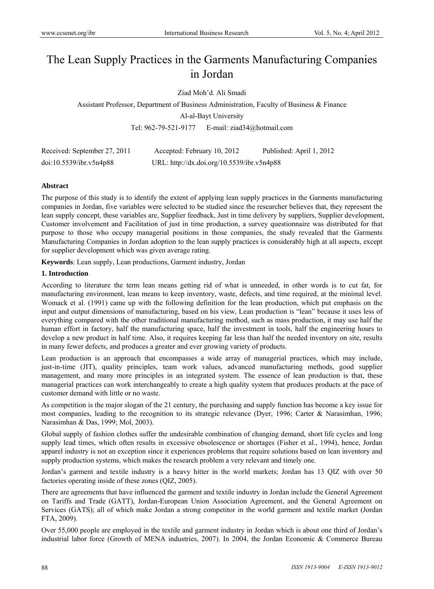# The Lean Supply Practices in the Garments Manufacturing Companies in Jordan

Ziad Moh'd. Ali Smadi

Assistant Professor, Department of Business Administration, Faculty of Business & Finance Al-al-Bayt University Tel: 962-79-521-9177 E-mail: ziad34@hotmail.com

| Received: September 27, 2011 | Accepted: February 10, 2012                | Published: April 1, 2012 |
|------------------------------|--------------------------------------------|--------------------------|
| doi:10.5539/ibr.v5n4p88      | URL: http://dx.doi.org/10.5539/ibr.v5n4p88 |                          |

# **Abstract**

The purpose of this study is to identify the extent of applying lean supply practices in the Garments manufacturing companies in Jordan, five variables were selected to be studied since the researcher believes that, they represent the lean supply concept, these variables are, Supplier feedback, Just in time delivery by suppliers, Supplier development, Customer involvement and Facilitation of just in time production, a survey questionnaire was distributed for that purpose to those who occupy managerial positions in those companies, the study revealed that the Garments Manufacturing Companies in Jordan adoption to the lean supply practices is considerably high at all aspects, except for supplier development which was given average rating.

**Keywords**: Lean supply, Lean productions, Garment industry, Jordan

# **1. Introduction**

According to literature the term lean means getting rid of what is unneeded, in other words is to cut fat, for manufacturing environment, lean means to keep inventory, waste, defects, and time required, at the minimal level. Womack et al. (1991) came up with the following definition for the lean production, which put emphasis on the input and output dimensions of manufacturing, based on his view, Lean production is "lean" because it uses less of everything compared with the other traditional manufacturing method, such as mass production, it may use half the human effort in factory, half the manufacturing space, half the investment in tools, half the engineering hours to develop a new product in half time. Also, it requires keeping far less than half the needed inventory on site, results in many fewer defects, and produces a greater and ever growing variety of products.

Lean production is an approach that encompasses a wide array of managerial practices, which may include, just-in-time (JIT), quality principles, team work values, advanced manufacturing methods, good supplier management, and many more principles in an integrated system. The essence of lean production is that, these managerial practices can work interchangeably to create a high quality system that produces products at the pace of customer demand with little or no waste.

As competition is the major slogan of the 21 century, the purchasing and supply function has become a key issue for most companies, leading to the recognition to its strategic relevance (Dyer, 1996; Carter & Narasimhan, 1996; Narasimhan & Das, 1999; Mol, 2003).

Global supply of fashion clothes suffer the undesirable combination of changing demand, short life cycles and long supply lead times, which often results in excessive obsolescence or shortages (Fisher et al., 1994), hence, Jordan apparel industry is not an exception since it experiences problems that require solutions based on lean inventory and supply production systems, which makes the research problem a very relevant and timely one.

Jordan's garment and textile industry is a heavy hitter in the world markets; Jordan has 13 QIZ with over 50 factories operating inside of these zones (QIZ, 2005).

There are agreements that have influenced the garment and textile industry in Jordan include the General Agreement on Tariffs and Trade (GATT), Jordan-European Union Association Agreement, and the General Agreement on Services (GATS); all of which make Jordan a strong competitor in the world garment and textile market (Jordan FTA, 2009).

Over 55,000 people are employed in the textile and garment industry in Jordan which is about one third of Jordan's industrial labor force (Growth of MENA industries, 2007). In 2004, the Jordan Economic & Commerce Bureau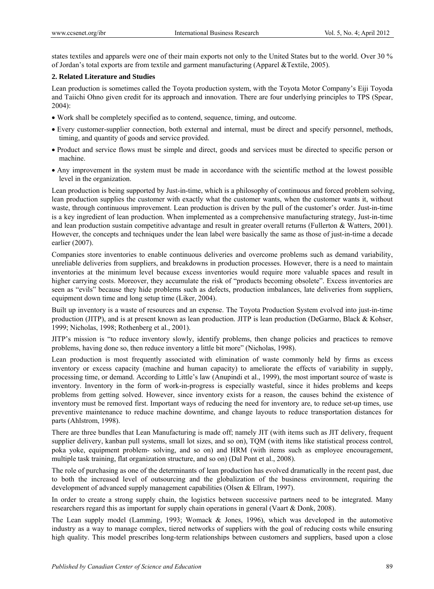states textiles and apparels were one of their main exports not only to the United States but to the world. Over 30 % of Jordan's total exports are from textile and garment manufacturing (Apparel &Textile, 2005).

# **2. Related Literature and Studies**

Lean production is sometimes called the Toyota production system, with the Toyota Motor Company's Eiji Toyoda and Taiichi Ohno given credit for its approach and innovation. There are four underlying principles to TPS (Spear, 2004):

- Work shall be completely specified as to contend, sequence, timing, and outcome.
- Every customer-supplier connection, both external and internal, must be direct and specify personnel, methods, timing, and quantity of goods and service provided.
- Product and service flows must be simple and direct, goods and services must be directed to specific person or machine.
- Any improvement in the system must be made in accordance with the scientific method at the lowest possible level in the organization.

Lean production is being supported by Just-in-time, which is a philosophy of continuous and forced problem solving, lean production supplies the customer with exactly what the customer wants, when the customer wants it, without waste, through continuous improvement. Lean production is driven by the pull of the customer's order. Just-in-time is a key ingredient of lean production. When implemented as a comprehensive manufacturing strategy, Just-in-time and lean production sustain competitive advantage and result in greater overall returns (Fullerton & Watters, 2001). However, the concepts and techniques under the lean label were basically the same as those of just-in-time a decade earlier (2007).

Companies store inventories to enable continuous deliveries and overcome problems such as demand variability, unreliable deliveries from suppliers, and breakdowns in production processes. However, there is a need to maintain inventories at the minimum level because excess inventories would require more valuable spaces and result in higher carrying costs. Moreover, they accumulate the risk of "products becoming obsolete". Excess inventories are seen as "evils" because they hide problems such as defects, production imbalances, late deliveries from suppliers, equipment down time and long setup time (Liker, 2004).

Built up inventory is a waste of resources and an expense. The Toyota Production System evolved into just-in-time production (JITP), and is at present known as lean production. JITP is lean production (DeGarmo, Black & Kohser, 1999; Nicholas, 1998; Rothenberg et al., 2001).

JITP's mission is "to reduce inventory slowly, identify problems, then change policies and practices to remove problems, having done so, then reduce inventory a little bit more" (Nicholas, 1998).

Lean production is most frequently associated with elimination of waste commonly held by firms as excess inventory or excess capacity (machine and human capacity) to ameliorate the effects of variability in supply, processing time, or demand. According to Little's law (Anupindi et al., 1999), the most important source of waste is inventory. Inventory in the form of work-in-progress is especially wasteful, since it hides problems and keeps problems from getting solved. However, since inventory exists for a reason, the causes behind the existence of inventory must be removed first. Important ways of reducing the need for inventory are, to reduce set-up times, use preventive maintenance to reduce machine downtime, and change layouts to reduce transportation distances for parts (Ahlstrom, 1998).

There are three bundles that Lean Manufacturing is made off; namely JIT (with items such as JIT delivery, frequent supplier delivery, kanban pull systems, small lot sizes, and so on), TQM (with items like statistical process control, poka yoke, equipment problem- solving, and so on) and HRM (with items such as employee encouragement, multiple task training, flat organization structure, and so on) (Dal Pont et al., 2008).

The role of purchasing as one of the determinants of lean production has evolved dramatically in the recent past, due to both the increased level of outsourcing and the globalization of the business environment, requiring the development of advanced supply management capabilities (Olsen & Ellram, 1997).

In order to create a strong supply chain, the logistics between successive partners need to be integrated. Many researchers regard this as important for supply chain operations in general (Vaart & Donk, 2008).

The Lean supply model (Lamming, 1993; Womack & Jones, 1996), which was developed in the automotive industry as a way to manage complex, tiered networks of suppliers with the goal of reducing costs while ensuring high quality. This model prescribes long-term relationships between customers and suppliers, based upon a close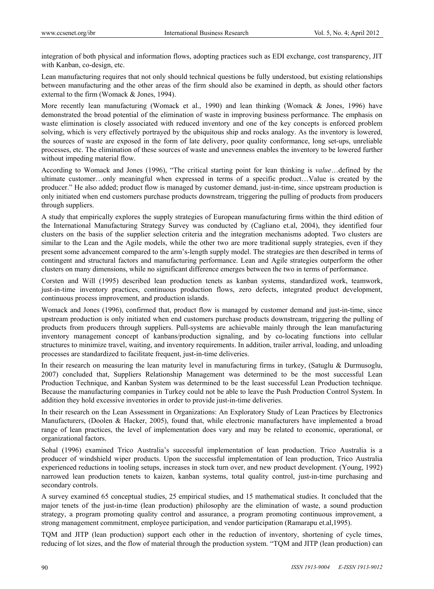integration of both physical and information flows, adopting practices such as EDI exchange, cost transparency, JIT with Kanban, co-design, etc.

Lean manufacturing requires that not only should technical questions be fully understood, but existing relationships between manufacturing and the other areas of the firm should also be examined in depth, as should other factors external to the firm (Womack & Jones, 1994).

More recently lean manufacturing (Womack et al., 1990) and lean thinking (Womack & Jones, 1996) have demonstrated the broad potential of the elimination of waste in improving business performance. The emphasis on waste elimination is closely associated with reduced inventory and one of the key concepts is enforced problem solving, which is very effectively portrayed by the ubiquitous ship and rocks analogy. As the inventory is lowered, the sources of waste are exposed in the form of late delivery, poor quality conformance, long set-ups, unreliable processes, etc. The elimination of these sources of waste and unevenness enables the inventory to be lowered further without impeding material flow.

According to Womack and Jones (1996), "The critical starting point for lean thinking is *value*…defined by the ultimate customer…only meaningful when expressed in terms of a specific product…Value is created by the producer." He also added; product flow is managed by customer demand, just-in-time, since upstream production is only initiated when end customers purchase products downstream, triggering the pulling of products from producers through suppliers.

A study that empirically explores the supply strategies of European manufacturing firms within the third edition of the International Manufacturing Strategy Survey was conducted by (Cagliano et.al, 2004), they identified four clusters on the basis of the supplier selection criteria and the integration mechanisms adopted. Two clusters are similar to the Lean and the Agile models, while the other two are more traditional supply strategies, even if they present some advancement compared to the arm's-length supply model. The strategies are then described in terms of contingent and structural factors and manufacturing performance. Lean and Agile strategies outperform the other clusters on many dimensions, while no significant difference emerges between the two in terms of performance.

Corsten and Will (1995) described lean production tenets as kanban systems, standardized work, teamwork, just-in-time inventory practices, continuous production flows, zero defects, integrated product development, continuous process improvement, and production islands.

Womack and Jones (1996), confirmed that, product flow is managed by customer demand and just-in-time, since upstream production is only initiated when end customers purchase products downstream, triggering the pulling of products from producers through suppliers. Pull-systems are achievable mainly through the lean manufacturing inventory management concept of kanbans/production signaling, and by co-locating functions into cellular structures to minimize travel, waiting, and inventory requirements. In addition, trailer arrival, loading, and unloading processes are standardized to facilitate frequent, just-in-time deliveries.

In their research on measuring the lean maturity level in manufacturing firms in turkey, (Satuglu & Durmusoglu, 2007) concluded that, Suppliers Relationship Management was determined to be the most successful Lean Production Technique, and Kanban System was determined to be the least successful Lean Production technique. Because the manufacturing companies in Turkey could not be able to leave the Push Production Control System. In addition they hold excessive inventories in order to provide just-in-time deliveries.

In their research on the Lean Assessment in Organizations: An Exploratory Study of Lean Practices by Electronics Manufacturers, (Doolen & Hacker, 2005), found that, while electronic manufacturers have implemented a broad range of lean practices, the level of implementation does vary and may be related to economic, operational, or organizational factors.

Sohal (1996) examined Trico Australia's successful implementation of lean production. Trico Australia is a producer of windshield wiper products. Upon the successful implementation of lean production, Trico Australia experienced reductions in tooling setups, increases in stock turn over, and new product development. (Young, 1992) narrowed lean production tenets to kaizen, kanban systems, total quality control, just-in-time purchasing and secondary controls.

A survey examined 65 conceptual studies, 25 empirical studies, and 15 mathematical studies. It concluded that the major tenets of the just-in-time (lean production) philosophy are the elimination of waste, a sound production strategy, a program promoting quality control and assurance, a program promoting continuous improvement, a strong management commitment, employee participation, and vendor participation (Ramarapu et.al,1995).

TQM and JITP (lean production) support each other in the reduction of inventory, shortening of cycle times, reducing of lot sizes, and the flow of material through the production system. "TQM and JITP (lean production) can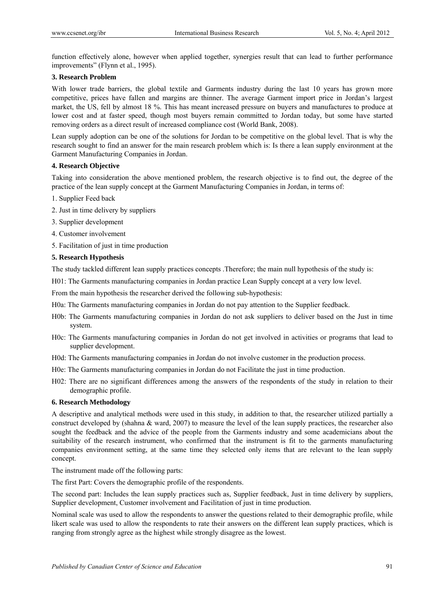function effectively alone, however when applied together, synergies result that can lead to further performance improvements" (Flynn et al., 1995).

# **3. Research Problem**

With lower trade barriers, the global textile and Garments industry during the last 10 years has grown more competitive, prices have fallen and margins are thinner. The average Garment import price in Jordan's largest market, the US, fell by almost 18 %. This has meant increased pressure on buyers and manufactures to produce at lower cost and at faster speed, though most buyers remain committed to Jordan today, but some have started removing orders as a direct result of increased compliance cost (World Bank, 2008).

Lean supply adoption can be one of the solutions for Jordan to be competitive on the global level. That is why the research sought to find an answer for the main research problem which is: Is there a lean supply environment at the Garment Manufacturing Companies in Jordan.

#### **4. Research Objective**

Taking into consideration the above mentioned problem, the research objective is to find out, the degree of the practice of the lean supply concept at the Garment Manufacturing Companies in Jordan, in terms of:

- 1. Supplier Feed back
- 2. Just in time delivery by suppliers
- 3. Supplier development
- 4. Customer involvement
- 5. Facilitation of just in time production

# **5. Research Hypothesis**

The study tackled different lean supply practices concepts .Therefore; the main null hypothesis of the study is:

H01: The Garments manufacturing companies in Jordan practice Lean Supply concept at a very low level.

- From the main hypothesis the researcher derived the following sub-hypothesis:
- H0a: The Garments manufacturing companies in Jordan do not pay attention to the Supplier feedback.
- H0b: The Garments manufacturing companies in Jordan do not ask suppliers to deliver based on the Just in time system.
- H0c: The Garments manufacturing companies in Jordan do not get involved in activities or programs that lead to supplier development.
- H0d: The Garments manufacturing companies in Jordan do not involve customer in the production process.
- H0e: The Garments manufacturing companies in Jordan do not Facilitate the just in time production.
- H02: There are no significant differences among the answers of the respondents of the study in relation to their demographic profile.

#### **6. Research Methodology**

A descriptive and analytical methods were used in this study, in addition to that, the researcher utilized partially a construct developed by (shahna & ward, 2007) to measure the level of the lean supply practices, the researcher also sought the feedback and the advice of the people from the Garments industry and some academicians about the suitability of the research instrument, who confirmed that the instrument is fit to the garments manufacturing companies environment setting, at the same time they selected only items that are relevant to the lean supply concept.

The instrument made off the following parts:

The first Part: Covers the demographic profile of the respondents.

The second part: Includes the lean supply practices such as, Supplier feedback, Just in time delivery by suppliers, Supplier development, Customer involvement and Facilitation of just in time production.

Nominal scale was used to allow the respondents to answer the questions related to their demographic profile, while likert scale was used to allow the respondents to rate their answers on the different lean supply practices, which is ranging from strongly agree as the highest while strongly disagree as the lowest.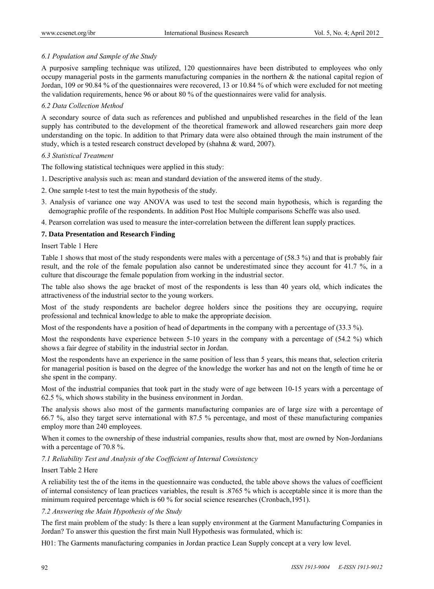# *6.1 Population and Sample of the Study*

A purposive sampling technique was utilized, 120 questionnaires have been distributed to employees who only occupy managerial posts in the garments manufacturing companies in the northern  $\&$  the national capital region of Jordan, 109 or 90.84 % of the questionnaires were recovered, 13 or 10.84 % of which were excluded for not meeting the validation requirements, hence 96 or about 80 % of the questionnaires were valid for analysis.

# *6.2 Data Collection Method*

A secondary source of data such as references and published and unpublished researches in the field of the lean supply has contributed to the development of the theoretical framework and allowed researchers gain more deep understanding on the topic. In addition to that Primary data were also obtained through the main instrument of the study, which is a tested research construct developed by (shahna & ward, 2007).

# *6.3 Statistical Treatment*

The following statistical techniques were applied in this study:

- 1. Descriptive analysis such as: mean and standard deviation of the answered items of the study.
- 2. One sample t-test to test the main hypothesis of the study.
- 3. Analysis of variance one way ANOVA was used to test the second main hypothesis, which is regarding the demographic profile of the respondents. In addition Post Hoc Multiple comparisons Scheffe was also used.
- 4. Pearson correlation was used to measure the inter-correlation between the different lean supply practices.

# **7. Data Presentation and Research Finding**

Insert Table 1 Here

Table 1 shows that most of the study respondents were males with a percentage of (58.3 %) and that is probably fair result, and the role of the female population also cannot be underestimated since they account for 41.7 %, in a culture that discourage the female population from working in the industrial sector.

The table also shows the age bracket of most of the respondents is less than 40 years old, which indicates the attractiveness of the industrial sector to the young workers.

Most of the study respondents are bachelor degree holders since the positions they are occupying, require professional and technical knowledge to able to make the appropriate decision.

Most of the respondents have a position of head of departments in the company with a percentage of (33.3 %).

Most the respondents have experience between 5-10 years in the company with a percentage of (54.2 %) which shows a fair degree of stability in the industrial sector in Jordan.

Most the respondents have an experience in the same position of less than 5 years, this means that, selection criteria for managerial position is based on the degree of the knowledge the worker has and not on the length of time he or she spent in the company.

Most of the industrial companies that took part in the study were of age between 10-15 years with a percentage of 62.5 %, which shows stability in the business environment in Jordan.

The analysis shows also most of the garments manufacturing companies are of large size with a percentage of 66.7 %, also they target serve international with 87.5 % percentage, and most of these manufacturing companies employ more than 240 employees.

When it comes to the ownership of these industrial companies, results show that, most are owned by Non-Jordanians with a percentage of 70.8 %.

#### *7.1 Reliability Test and Analysis of the Coefficient of Internal Consistency*

#### Insert Table 2 Here

A reliability test the of the items in the questionnaire was conducted, the table above shows the values of coefficient of internal consistency of lean practices variables, the result is .8765 % which is acceptable since it is more than the minimum required percentage which is 60 % for social science researches (Cronbach,1951).

#### *7.2 Answering the Main Hypothesis of the Study*

The first main problem of the study: Is there a lean supply environment at the Garment Manufacturing Companies in Jordan? To answer this question the first main Null Hypothesis was formulated, which is:

H01: The Garments manufacturing companies in Jordan practice Lean Supply concept at a very low level.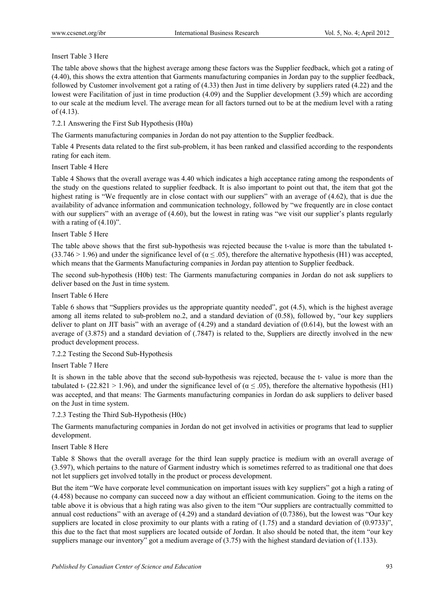# Insert Table 3 Here

The table above shows that the highest average among these factors was the Supplier feedback, which got a rating of (4.40), this shows the extra attention that Garments manufacturing companies in Jordan pay to the supplier feedback, followed by Customer involvement got a rating of (4.33) then Just in time delivery by suppliers rated (4.22) and the lowest were Facilitation of just in time production (4.09) and the Supplier development (3.59) which are according to our scale at the medium level. The average mean for all factors turned out to be at the medium level with a rating of (4.13).

7.2.1 Answering the First Sub Hypothesis (H0a)

The Garments manufacturing companies in Jordan do not pay attention to the Supplier feedback.

Table 4 Presents data related to the first sub-problem, it has been ranked and classified according to the respondents rating for each item.

Insert Table 4 Here

Table 4 Shows that the overall average was 4.40 which indicates a high acceptance rating among the respondents of the study on the questions related to supplier feedback. It is also important to point out that, the item that got the highest rating is "We frequently are in close contact with our suppliers" with an average of (4.62), that is due the availability of advance information and communication technology, followed by "we frequently are in close contact with our suppliers" with an average of (4.60), but the lowest in rating was "we visit our supplier's plants regularly with a rating of  $(4.10)$ ".

#### Insert Table 5 Here

The table above shows that the first sub-hypothesis was rejected because the t-value is more than the tabulated t- (33.746 > 1.96) and under the significance level of ( $\alpha \leq .05$ ), therefore the alternative hypothesis (H1) was accepted, which means that the Garments Manufacturing companies in Jordan pay attention to Supplier feedback.

The second sub-hypothesis (H0b) test: The Garments manufacturing companies in Jordan do not ask suppliers to deliver based on the Just in time system.

#### Insert Table 6 Here

Table 6 shows that "Suppliers provides us the appropriate quantity needed", got (4.5), which is the highest average among all items related to sub-problem no.2, and a standard deviation of (0.58), followed by, "our key suppliers deliver to plant on JIT basis" with an average of  $(4.29)$  and a standard deviation of  $(0.614)$ , but the lowest with an average of (3.875) and a standard deviation of (.7847) is related to the, Suppliers are directly involved in the new product development process.

7.2.2 Testing the Second Sub-Hypothesis

#### Insert Table 7 Here

It is shown in the table above that the second sub-hypothesis was rejected, because the t- value is more than the tabulated t- (22.821 > 1.96), and under the significance level of ( $\alpha \le 0.05$ ), therefore the alternative hypothesis (H1) was accepted, and that means: The Garments manufacturing companies in Jordan do ask suppliers to deliver based on the Just in time system.

7.2.3 Testing the Third Sub-Hypothesis (H0c)

The Garments manufacturing companies in Jordan do not get involved in activities or programs that lead to supplier development.

Insert Table 8 Here

Table 8 Shows that the overall average for the third lean supply practice is medium with an overall average of (3.597), which pertains to the nature of Garment industry which is sometimes referred to as traditional one that does not let suppliers get involved totally in the product or process development.

But the item "We have corporate level communication on important issues with key suppliers" got a high a rating of (4.458) because no company can succeed now a day without an efficient communication. Going to the items on the table above it is obvious that a high rating was also given to the item "Our suppliers are contractually committed to annual cost reductions" with an average of (4.29) and a standard deviation of (0.7386), but the lowest was "Our key suppliers are located in close proximity to our plants with a rating of  $(1.75)$  and a standard deviation of  $(0.9733)$ ", this due to the fact that most suppliers are located outside of Jordan. It also should be noted that, the item "our key suppliers manage our inventory" got a medium average of (3.75) with the highest standard deviation of (1.133).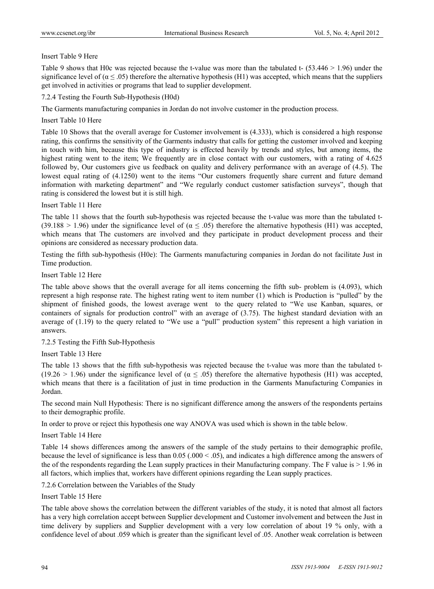# Insert Table 9 Here

Table 9 shows that H0c was rejected because the t-value was more than the tabulated t- (53.446 > 1.96) under the significance level of ( $\alpha \le 0.05$ ) therefore the alternative hypothesis (H1) was accepted, which means that the suppliers get involved in activities or programs that lead to supplier development.

# 7.2.4 Testing the Fourth Sub-Hypothesis (H0d)

The Garments manufacturing companies in Jordan do not involve customer in the production process.

#### Insert Table 10 Here

Table 10 Shows that the overall average for Customer involvement is (4.333), which is considered a high response rating, this confirms the sensitivity of the Garments industry that calls for getting the customer involved and keeping in touch with him, because this type of industry is effected heavily by trends and styles, but among items, the highest rating went to the item; We frequently are in close contact with our customers, with a rating of 4.625 followed by, Our customers give us feedback on quality and delivery performance with an average of (4.5). The lowest equal rating of (4.1250) went to the items "Our customers frequently share current and future demand information with marketing department" and "We regularly conduct customer satisfaction surveys", though that rating is considered the lowest but it is still high.

#### Insert Table 11 Here

The table 11 shows that the fourth sub-hypothesis was rejected because the t-value was more than the tabulated t- (39.188 > 1.96) under the significance level of ( $\alpha \le 0.05$ ) therefore the alternative hypothesis (H1) was accepted, which means that The customers are involved and they participate in product development process and their opinions are considered as necessary production data.

Testing the fifth sub-hypothesis (H0e): The Garments manufacturing companies in Jordan do not facilitate Just in Time production.

### Insert Table 12 Here

The table above shows that the overall average for all items concerning the fifth sub- problem is (4.093), which represent a high response rate. The highest rating went to item number (1) which is Production is "pulled" by the shipment of finished goods, the lowest average went to the query related to "We use Kanban, squares, or containers of signals for production control" with an average of (3.75). The highest standard deviation with an average of (1.19) to the query related to "We use a "pull" production system" this represent a high variation in answers.

#### 7.2.5 Testing the Fifth Sub-Hypothesis

#### Insert Table 13 Here

The table 13 shows that the fifth sub-hypothesis was rejected because the t-value was more than the tabulated t- (19.26 > 1.96) under the significance level of ( $\alpha \leq .05$ ) therefore the alternative hypothesis (H1) was accepted, which means that there is a facilitation of just in time production in the Garments Manufacturing Companies in Jordan.

The second main Null Hypothesis: There is no significant difference among the answers of the respondents pertains to their demographic profile.

In order to prove or reject this hypothesis one way ANOVA was used which is shown in the table below.

Insert Table 14 Here

Table 14 shows differences among the answers of the sample of the study pertains to their demographic profile, because the level of significance is less than  $0.05$  (.000  $\leq$  .05), and indicates a high difference among the answers of the of the respondents regarding the Lean supply practices in their Manufacturing company. The F value is > 1.96 in all factors, which implies that, workers have different opinions regarding the Lean supply practices.

7.2.6 Correlation between the Variables of the Study

#### Insert Table 15 Here

The table above shows the correlation between the different variables of the study, it is noted that almost all factors has a very high correlation accept between Supplier development and Customer involvement and between the Just in time delivery by suppliers and Supplier development with a very low correlation of about 19 % only, with a confidence level of about .059 which is greater than the significant level of .05. Another weak correlation is between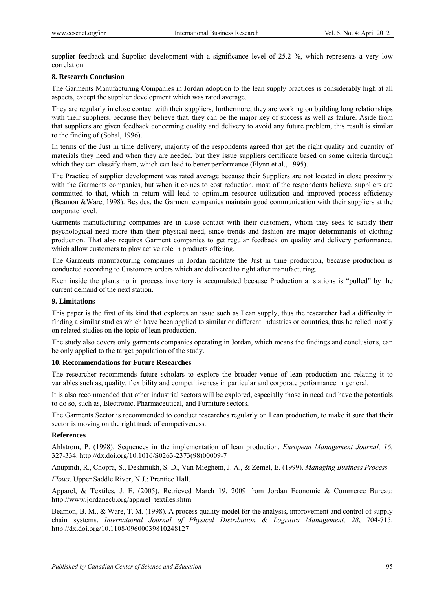supplier feedback and Supplier development with a significance level of 25.2 %, which represents a very low correlation

### **8. Research Conclusion**

The Garments Manufacturing Companies in Jordan adoption to the lean supply practices is considerably high at all aspects, except the supplier development which was rated average.

They are regularly in close contact with their suppliers, furthermore, they are working on building long relationships with their suppliers, because they believe that, they can be the major key of success as well as failure. Aside from that suppliers are given feedback concerning quality and delivery to avoid any future problem, this result is similar to the finding of (Sohal, 1996).

In terms of the Just in time delivery, majority of the respondents agreed that get the right quality and quantity of materials they need and when they are needed, but they issue suppliers certificate based on some criteria through which they can classify them, which can lead to better performance (Flynn et al., 1995).

The Practice of supplier development was rated average because their Suppliers are not located in close proximity with the Garments companies, but when it comes to cost reduction, most of the respondents believe, suppliers are committed to that, which in return will lead to optimum resource utilization and improved process efficiency (Beamon &Ware, 1998). Besides, the Garment companies maintain good communication with their suppliers at the corporate level.

Garments manufacturing companies are in close contact with their customers, whom they seek to satisfy their psychological need more than their physical need, since trends and fashion are major determinants of clothing production. That also requires Garment companies to get regular feedback on quality and delivery performance, which allow customers to play active role in products offering.

The Garments manufacturing companies in Jordan facilitate the Just in time production, because production is conducted according to Customers orders which are delivered to right after manufacturing.

Even inside the plants no in process inventory is accumulated because Production at stations is "pulled" by the current demand of the next station.

#### **9. Limitations**

This paper is the first of its kind that explores an issue such as Lean supply, thus the researcher had a difficulty in finding a similar studies which have been applied to similar or different industries or countries, thus he relied mostly on related studies on the topic of lean production.

The study also covers only garments companies operating in Jordan, which means the findings and conclusions, can be only applied to the target population of the study.

#### **10. Recommendations for Future Researches**

The researcher recommends future scholars to explore the broader venue of lean production and relating it to variables such as, quality, flexibility and competitiveness in particular and corporate performance in general.

It is also recommended that other industrial sectors will be explored, especially those in need and have the potentials to do so, such as, Electronic, Pharmaceutical, and Furniture sectors.

The Garments Sector is recommended to conduct researches regularly on Lean production, to make it sure that their sector is moving on the right track of competiveness.

# **References**

Ahlstrom, P. (1998). Sequences in the implementation of lean production. *European Management Journal, 16*, 327-334. http://dx.doi.org/10.1016/S0263-2373(98)00009-7

Anupindi, R., Chopra, S., Deshmukh, S. D., Van Mieghem, J. A., & Zemel, E. (1999). *Managing Business Process* 

*Flows*. Upper Saddle River, N.J.: Prentice Hall.

Apparel, & Textiles, J. E. (2005). Retrieved March 19, 2009 from Jordan Economic & Commerce Bureau: http://www.jordanecb.org/apparel\_textiles.shtm

Beamon, B. M., & Ware, T. M. (1998). A process quality model for the analysis, improvement and control of supply chain systems. *International Journal of Physical Distribution & Logistics Management, 28*, 704-715. http://dx.doi.org/10.1108/09600039810248127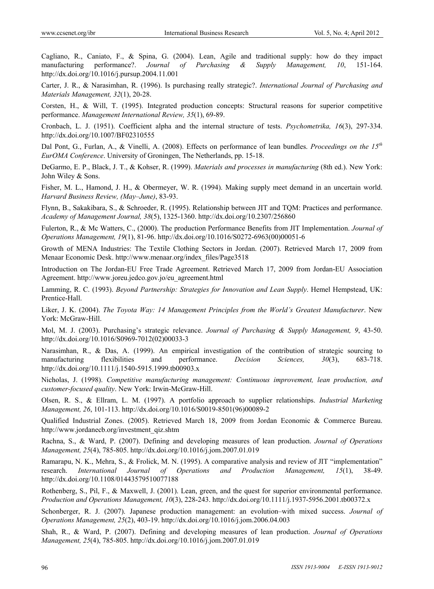Cagliano, R., Caniato, F., & Spina, G. (2004). Lean, Agile and traditional supply: how do they impact manufacturing performance?. *Journal of Purchasing & Supply Management, 10*, 151-164. http://dx.doi.org/10.1016/j.pursup.2004.11.001

Carter, J. R., & Narasimhan, R. (1996). Is purchasing really strategic?. *International Journal of Purchasing and Materials Management, 32*(1), 20-28.

Corsten, H., & Will, T. (1995). Integrated production concepts: Structural reasons for superior competitive performance. *Management International Review, 35*(1), 69-89.

Cronbach, L. J. (1951). Coefficient alpha and the internal structure of tests. *Psychometrika, 16*(3), 297-334. http://dx.doi.org/10.1007/BF02310555

Dal Pont, G., Furlan, A., & Vinelli, A. (2008). Effects on performance of lean bundles. *Proceedings on the 15th EurOMA Conference*. University of Groningen, The Netherlands, pp. 15-18.

DeGarmo, E. P., Black, J. T., & Kohser, R. (1999). *Materials and processes in manufacturing* (8th ed.). New York: John Wiley & Sons.

Fisher, M. L., Hamond, J. H., & Obermeyer, W. R. (1994). Making supply meet demand in an uncertain world. *Harvard Business Review, (May–June)*, 83-93.

Flynn, B., Sakakibara, S., & Schroeder, R. (1995). Relationship between JIT and TQM: Practices and performance. *Academy of Management Journal, 38*(5), 1325-1360. http://dx.doi.org/10.2307/256860

Fulerton, R., & Mc Watters, C., (2000). The production Performance Benefits from JIT Implementation. *Journal of Operations Management, 19*(1), 81-96. http://dx.doi.org/10.1016/S0272-6963(00)00051-6

Growth of MENA Industries: The Textile Clothing Sectors in Jordan. (2007). Retrieved March 17, 2009 from Menaar Economic Desk. http://www.menaar.org/index\_files/Page3518

Introduction on The Jordan-EU Free Trade Agreement. Retrieved March 17, 2009 from Jordan-EU Association Agreement. http://www.joreu.jedco.gov.jo/eu\_agreement.html

Lamming, R. C. (1993). *Beyond Partnership: Strategies for Innovation and Lean Supply*. Hemel Hempstead, UK: Prentice-Hall.

Liker, J. K. (2004). *The Toyota Way: 14 Management Principles from the World's Greatest Manufacturer*. New York: McGraw-Hill.

Mol, M. J. (2003). Purchasing's strategic relevance. *Journal of Purchasing & Supply Management, 9*, 43-50. http://dx.doi.org/10.1016/S0969-7012(02)00033-3

Narasimhan, R., & Das, A. (1999). An empirical investigation of the contribution of strategic sourcing to manufacturing flexibilities and performance. *Decision Sciences, 30*(3), 683-718. http://dx.doi.org/10.1111/j.1540-5915.1999.tb00903.x

Nicholas, J. (1998). *Competitive manufacturing management: Continuous improvement, lean production, and customer-focused quality*. New York: Irwin-McGraw-Hill.

Olsen, R. S., & Ellram, L. M. (1997). A portfolio approach to supplier relationships. *Industrial Marketing Management, 26*, 101-113. http://dx.doi.org/10.1016/S0019-8501(96)00089-2

Qualified Industrial Zones. (2005). Retrieved March 18, 2009 from Jordan Economic & Commerce Bureau. http://www.jordanecb.org/investment\_qiz.shtm

Rachna, S., & Ward, P. (2007). Defining and developing measures of lean production. *Journal of Operations Management, 25*(4), 785-805. http://dx.doi.org/10.1016/j.jom.2007.01.019

Ramarapu, N. K., Mehra, S., & Frolick, M. N. (1995). A comparative analysis and review of JIT "implementation" research. *International Journal of Operations and Production Management, 15*(1), 38-49. http://dx.doi.org/10.1108/01443579510077188

Rothenberg, S., Pil, F., & Maxwell, J. (2001). Lean, green, and the quest for superior environmental performance. *Production and Operations Management, 10*(3), 228-243. http://dx.doi.org/10.1111/j.1937-5956.2001.tb00372.x

Schonberger, R. J. (2007). Japanese production management: an evolution–with mixed success. *Journal of Operations Management, 25*(2), 403-19. http://dx.doi.org/10.1016/j.jom.2006.04.003

Shah, R., & Ward, P. (2007). Defining and developing measures of lean production. *Journal of Operations Management, 25*(4), 785-805. http://dx.doi.org/10.1016/j.jom.2007.01.019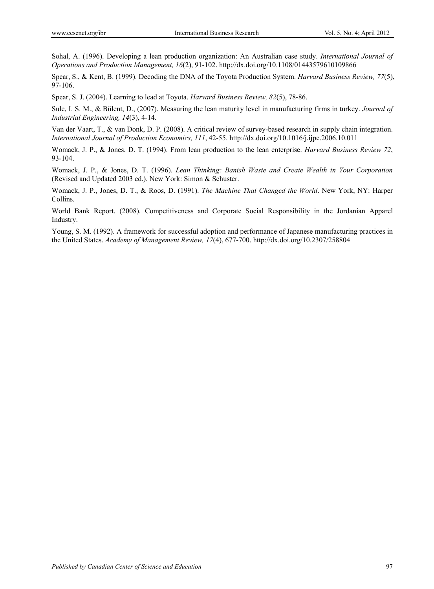Sohal, A. (1996). Developing a lean production organization: An Australian case study. *International Journal of Operations and Production Management, 16*(2), 91-102. http://dx.doi.org/10.1108/01443579610109866

Spear, S., & Kent, B. (1999). Decoding the DNA of the Toyota Production System. *Harvard Business Review, 77*(5), 97-106.

Spear, S. J. (2004). Learning to lead at Toyota. *Harvard Business Review, 82*(5), 78-86.

Sule, I. S. M., & Bülent, D., (2007). Measuring the lean maturity level in manufacturing firms in turkey. *Journal of Industrial Engineering, 14*(3), 4-14.

Van der Vaart, T., & van Donk, D. P. (2008). A critical review of survey-based research in supply chain integration. *International Journal of Production Economics, 111*, 42-55. http://dx.doi.org/10.1016/j.ijpe.2006.10.011

Womack, J. P., & Jones, D. T. (1994). From lean production to the lean enterprise. *Harvard Business Review 72*, 93-104.

Womack, J. P., & Jones, D. T. (1996). *Lean Thinking: Banish Waste and Create Wealth in Your Corporation* (Revised and Updated 2003 ed.). New York: Simon & Schuster.

Womack, J. P., Jones, D. T., & Roos, D. (1991). *The Machine That Changed the World*. New York, NY: Harper Collins.

World Bank Report. (2008). Competitiveness and Corporate Social Responsibility in the Jordanian Apparel Industry.

Young, S. M. (1992). A framework for successful adoption and performance of Japanese manufacturing practices in the United States. *Academy of Management Review, 17*(4), 677-700. http://dx.doi.org/10.2307/258804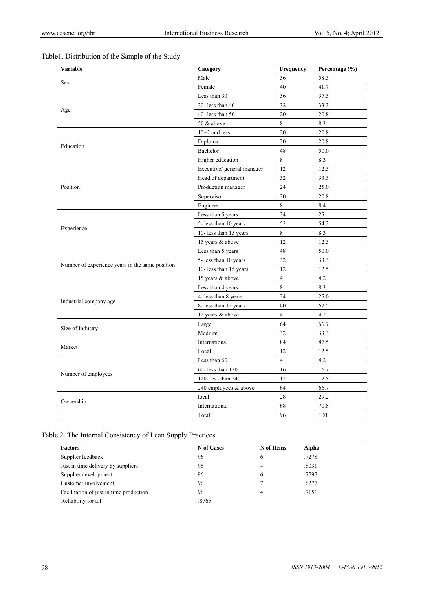Table1. Distribution of the Sample of the Study

| <b>Variable</b>                                 | Category                  | <b>Frequency</b> | Percentage (%) |
|-------------------------------------------------|---------------------------|------------------|----------------|
|                                                 | Male                      | 56               | 58.3           |
| Sex                                             | Female                    | 40               | 41.7           |
|                                                 | Less than 30              | 36               | 37.5           |
|                                                 | 30- less than 40          | 32               | 33.3           |
| Age                                             | 40-less than $50$         | 20               | 20.8           |
|                                                 | 50 & above                | $\,8\,$          | 8.3            |
|                                                 | $10+2$ and less           | 20               | 20.8           |
|                                                 | Diploma                   | 20               | 20.8           |
| Education                                       | Bachelor                  | 48               | 50.0           |
|                                                 | Higher education          | $\,8\,$          | 8.3            |
|                                                 | Executive/general manager | 12               | 12.5           |
|                                                 | Head of department        | 32               | 33.3           |
| Position                                        | Production manager        | 24               | 25.0           |
|                                                 | Supervisor                | 20               | 20.8           |
|                                                 | Engineer                  | $\,8\,$          | 8.4            |
|                                                 | Less than 5 years         | 24               | 25             |
|                                                 | 5- less than 10 years     | 52               | 54.2           |
| Experience                                      | 10- less than 15 years    | 8                | 8.3            |
|                                                 | 15 years & above          | 12               | 12.5           |
|                                                 | Less than 5 years         | 48               | 50.0           |
|                                                 | 5- less than 10 years     | 32               | 33.3           |
| Number of experience years in the same position | 10- less than 15 years    | 12               | 12.5           |
|                                                 | 15 years & above          | $\overline{4}$   | 4.2            |
|                                                 | Less than 4 years         | 8                | 8.3            |
|                                                 | 4- less than 8 years      | 24               | 25.0           |
| Industrial company age                          | 8- less than 12 years     | 60               | 62.5           |
|                                                 | 12 years & above          | $\overline{4}$   | 4.2            |
|                                                 | Large                     | 64               | 66.7           |
| Size of Industry                                | Medium                    | 32               | 33.3           |
| Market                                          | International             | 84               | 87.5           |
|                                                 | Local                     | 12               | 12.5           |
|                                                 | Less than 60              | $\overline{4}$   | 4.2            |
|                                                 | 60-less than 120          | 16               | 16.7           |
| Number of employees                             | 120- less than 240        | 12               | 12.5           |
|                                                 | 240 employees & above     | 64               | 66.7           |
|                                                 | local                     | 28               | 29.2           |
| Ownership                                       | International             | 68               | 70.8           |
|                                                 | Total                     | 96               | 100            |

| Table 2. The Internal Consistency of Lean Supply Practices |  |  |
|------------------------------------------------------------|--|--|
|                                                            |  |  |

| <b>Factors</b>                          | N of Cases | N of Items | Alpha |
|-----------------------------------------|------------|------------|-------|
| Supplier feedback                       | 96         | 6          | .7278 |
| Just in time delivery by suppliers      | 96         | 4          | .8031 |
| Supplier development                    | 96         | 6          | .7797 |
| Customer involvement                    | 96         |            | .6277 |
| Facilitation of just in time production | 96         |            | .7156 |
| Reliability for all                     | .8765      |            |       |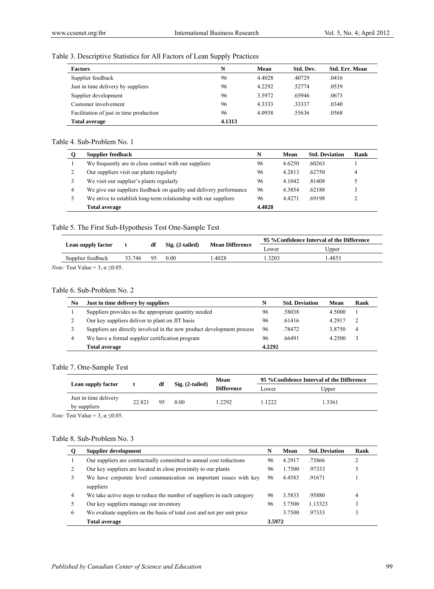| Table 3. Descriptive Statistics for All Factors of Lean Supply Practices |  |
|--------------------------------------------------------------------------|--|
|--------------------------------------------------------------------------|--|

| <b>Factors</b>                          | N      | Mean   | Std. Dev. | <b>Std. Err. Mean</b> |
|-----------------------------------------|--------|--------|-----------|-----------------------|
| Supplier feedback                       | 96     | 4.4028 | .40729    | .0416                 |
| Just in time delivery by suppliers      | 96     | 4.2292 | .52774    | .0539                 |
| Supplier development                    | 96     | 3.5972 | .65946    | .0673                 |
| Customer involvement                    | 96     | 4.3333 | .33337    | .0340                 |
| Facilitation of just in time production | 96     | 4.0938 | .55636    | .0568                 |
| <b>Total average</b>                    | 4.1313 |        |           |                       |

#### Table 4. Sub-Problem No. 1

|   | <b>Supplier feedback</b>                                           | N      | Mean   | <b>Std. Deviation</b> | Rank |
|---|--------------------------------------------------------------------|--------|--------|-----------------------|------|
|   | We frequently are in close contact with our suppliers              | 96     | 4.6250 | .60263                |      |
|   | Our suppliers visit our plants regularly                           | 96     | 4.2813 | .62750                | 4    |
|   | We visit our supplier's plants regularly                           | 96     | 4.1042 | .81408                |      |
| 4 | We give our suppliers feedback on quality and delivery performance | 96     | 4.3854 | .62188                | ι    |
|   | We strive to establish long-term relationship with our suppliers   | 96     | 4.4271 | .69198                |      |
|   | <b>Total average</b>                                               | 4.4028 |        |                       |      |

#### Table 5. The First Sub-Hypothesis Test One-Sample Test

|                             |        |    | $Sig. (2-tailed)$ | <b>Mean Difference</b> | 95 % Confidence Interval of the Difference |        |  |
|-----------------------------|--------|----|-------------------|------------------------|--------------------------------------------|--------|--|
| Lean supply factor          |        |    |                   |                        | Lower                                      | Upper  |  |
| Supplier feedback           | 33.746 | 95 | 0.00              | 4028                   | 3203                                       | 1.4853 |  |
| 7. m. 1771<br>$\sim$ $\sim$ |        |    |                   |                        |                                            |        |  |

*Note:* Test Value = 3,  $\alpha \le 0.05$ .

# Table 6. Sub-Problem No. 2

| No | Just in time delivery by suppliers                                     | N      | <b>Std. Deviation</b> | Mean   | Rank           |
|----|------------------------------------------------------------------------|--------|-----------------------|--------|----------------|
|    | Suppliers provides us the appropriate quantity needed                  | 96     | .58038                | 4.5000 |                |
|    | Our key suppliers deliver to plant on JIT basis                        | 96     | .61416                | 4.2917 |                |
|    | Suppliers are directly involved in the new product development process | 96     | .78472                | 3.8750 | $\overline{4}$ |
| 4  | We have a formal supplier certification program                        | 96     | .66491                | 4.2500 | 3              |
|    | <b>Total average</b>                                                   | 4.2292 |                       |        |                |

#### Table 7. One-Sample Test

|                                       |        |                |                   | Mean              | 95 % Confidence Interval of the Difference |        |
|---------------------------------------|--------|----------------|-------------------|-------------------|--------------------------------------------|--------|
| Lean supply factor                    |        | df             | $Sig. (2-tailed)$ | <b>Difference</b> | Lower                                      | Upper  |
| Just in time delivery<br>by suppliers | 22.821 | Q <sub>5</sub> | 0.00              | 1 2292            | .1222                                      | 1.3361 |

*Note:* Test Value = 3,  $\alpha \le 0.05$ .

#### Table 8. Sub-Problem No. 3

|   | Supplier development                                                    |        | Mean   | <b>Std. Deviation</b> | Rank |
|---|-------------------------------------------------------------------------|--------|--------|-----------------------|------|
|   | Our suppliers are contractually committed to annual cost reductions     | 96     | 4.2917 | .73866                | ↑    |
|   | Our key suppliers are located in close proximity to our plants          | 96     | 1.7500 | .97333                | 5    |
|   | We have corporate level communication on important issues with key      | 96     | 4.4583 | .91671                |      |
|   | suppliers                                                               |        |        |                       |      |
| 4 | We take active steps to reduce the number of suppliers in each category | 96     | 3.5833 | .95880                | 4    |
|   | Our key suppliers manage our inventory                                  | 96     | 3.7500 | 1.13323               | 3    |
| 6 | We evaluate suppliers on the basis of total cost and not per unit price |        | 3.7500 | .97333                |      |
|   | <b>Total average</b>                                                    | 3.5972 |        |                       |      |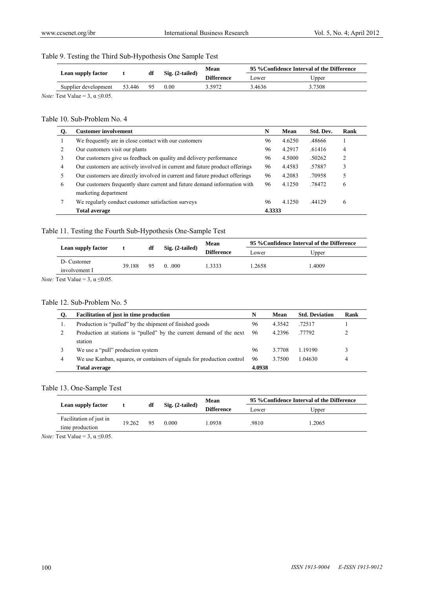# Table 9. Testing the Third Sub-Hypothesis One Sample Test

|                      |        |    |                   | Mean              | 95 % Confidence Interval of the Difference |        |
|----------------------|--------|----|-------------------|-------------------|--------------------------------------------|--------|
| Lean supply factor   |        |    | $Sig. (2-tailed)$ | <b>Difference</b> | Lower                                      | Upper  |
| Supplier development | 53.446 | 95 | 0.00              | 3.5972            | 34636                                      | 3.7308 |
| .<br>___             |        |    |                   |                   |                                            |        |

*Note:* Test Value = 3,  $\alpha \le 0.05$ .

#### Table 10. Sub-Problem No. 4

| Q. | <b>Customer involvement</b>                                                 | N      | Mean   | Std. Dev. | Rank           |  |
|----|-----------------------------------------------------------------------------|--------|--------|-----------|----------------|--|
|    | We frequently are in close contact with our customers                       | 96     | 4.6250 | .48666    |                |  |
| 2  | Our customers visit our plants                                              | 96     | 4.2917 | .61416    | 4              |  |
| 3  | Our customers give us feedback on quality and delivery performance          | 96     | 4.5000 | .50262    | $\overline{c}$ |  |
| 4  | Our customers are actively involved in current and future product offerings | 96     | 4.4583 | .57887    |                |  |
| 5  | Our customers are directly involved in current and future product offerings | 96     | 4.2083 | .70958    |                |  |
| 6  | Our customers frequently share current and future demand information with   | 96     | 4.1250 | .78472    | 6              |  |
|    | marketing department                                                        |        |        |           |                |  |
|    | We regularly conduct customer satisfaction surveys                          | 96     | 4.1250 | 44129     | 6              |  |
|    | <b>Total average</b>                                                        | 4.3333 |        |           |                |  |

# Table 11. Testing the Fourth Sub-Hypothesis One-Sample Test

|                    |        | df | $Sig. (2-tailed)$ | Mean              | 95 % Confidence Interval of the Difference |       |  |
|--------------------|--------|----|-------------------|-------------------|--------------------------------------------|-------|--|
| Lean supply factor |        |    |                   | <b>Difference</b> | Lower                                      | Upper |  |
| D- Customer        |        | 95 | 0.000             | 3333              |                                            |       |  |
| involvement I      | 39.188 |    |                   |                   | 1.2658                                     | .4009 |  |

*Note:* Test Value = 3,  $\alpha \le 0.05$ .

#### Table 12. Sub-Problem No. 5

| О. | <b>Facilitation of just in time production</b>                          | N      | Mean   | <b>Std. Deviation</b> | Rank |
|----|-------------------------------------------------------------------------|--------|--------|-----------------------|------|
|    | Production is "pulled" by the shipment of finished goods                | 96     | 4.3542 | .72517                |      |
|    | Production at stations is "pulled" by the current demand of the next    | 96     | 4.2396 | .77792                | 2    |
|    | station                                                                 |        |        |                       |      |
|    | We use a "pull" production system                                       | 96     | 3.7708 | 1.19190               | ٦    |
| 4  | We use Kanban, squares, or containers of signals for production control | 96     | 3.7500 | 1.04630               | 4    |
|    | <b>Total average</b>                                                    | 4.0938 |        |                       |      |

#### Table 13. One-Sample Test

|                                            |        | df | $Sig. (2-tailed)$ | Mean              | 95 % Confidence Interval of the Difference |        |  |
|--------------------------------------------|--------|----|-------------------|-------------------|--------------------------------------------|--------|--|
| Lean supply factor                         |        |    |                   | <b>Difference</b> | Lower                                      | Upper  |  |
| Facilitation of just in<br>time production | 19.262 | 95 | 0.000             | .0938             | .9810                                      | 1.2065 |  |

*Note:* Test Value = 3,  $\alpha \le 0.05$ .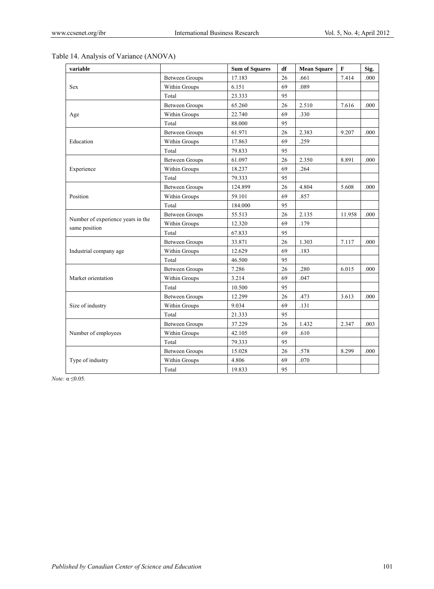| variable                          |                       | <b>Sum of Squares</b> | df          | <b>Mean Square</b> | $\mathbf F$ | Sig. |
|-----------------------------------|-----------------------|-----------------------|-------------|--------------------|-------------|------|
|                                   | <b>Between Groups</b> | 17.183                | 26          | .661               | 7.414       | .000 |
| Sex                               | Within Groups         | 6.151                 | 69          | .089               |             |      |
|                                   | Total                 | 23.333                | 95          |                    |             |      |
|                                   | <b>Between Groups</b> | 65.260                | 26          | 2.510              | 7.616       | .000 |
| Age                               | Within Groups         | 22.740                | 69          | .330               |             |      |
|                                   | Total                 | 88.000                | 95          |                    |             |      |
|                                   | <b>Between Groups</b> | 61.971                | 26          | 2.383              | 9.207       | .000 |
| Education                         | Within Groups         | 17.863                | 69          | .259               |             |      |
|                                   | Total                 | 79.833                | 95          |                    |             |      |
|                                   | <b>Between Groups</b> | 61.097                | 26          | 2.350              | 8.891       | .000 |
| Experience                        | Within Groups         | 18.237                | 69          | .264               |             |      |
|                                   | Total                 | 79.333                | 95          |                    |             |      |
|                                   | <b>Between Groups</b> | 124.899               | 26          | 4.804              | 5.608       | .000 |
| Position                          | Within Groups         | 59.101                | 69          | .857               |             |      |
|                                   | Total                 | 184.000               | 95          |                    |             |      |
|                                   | <b>Between Groups</b> | 55.513                | 26          | 2.135              | 11.958      | .000 |
| Number of experience years in the | Within Groups         | 12.320                | 69          | .179               |             |      |
| same position                     | Total                 | 67.833                | 95          |                    |             |      |
|                                   | <b>Between Groups</b> | 33.871                | 1.303<br>26 |                    | 7.117       | .000 |
| Industrial company age            | Within Groups         | 12.629                | 69          | .183               |             |      |
|                                   | Total                 | 46.500                | 95          |                    |             |      |
|                                   | <b>Between Groups</b> | 7.286                 | 26          | .280               | 6.015       | .000 |
| Market orientation                | Within Groups         | 3.214                 | 69          | .047               |             |      |
|                                   | Total                 | 10.500                | 95          |                    |             |      |
|                                   | <b>Between Groups</b> | 12.299                | 26          | .473               | 3.613       | .000 |
| Size of industry                  | Within Groups         | 9.034                 | 69          | .131               |             |      |
|                                   | Total                 | 21.333                | 95          |                    |             |      |
|                                   | <b>Between Groups</b> | 37.229                | 26          | 1.432              | 2.347       | .003 |
| Number of employees               | Within Groups         | 42.105                | 69          | .610               |             |      |
|                                   | Total                 | 79.333                | 95          |                    |             |      |
|                                   | <b>Between Groups</b> | 15.028                | 26          | .578               | 8.299       | .000 |
| Type of industry                  | Within Groups         | 4.806                 | 69          | .070               |             |      |
|                                   | Total                 | 19.833                | 95          |                    |             |      |

*Note:* α ≤0.05.